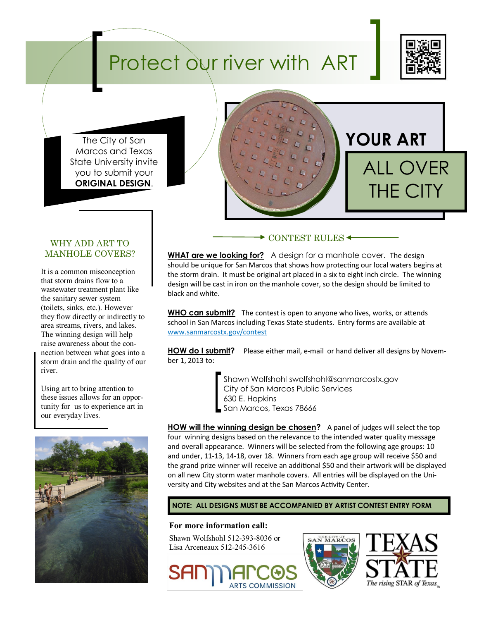# Protect our river with ART



The City of San Marcos and Texas State University invite you to submit your **ORIGINAL DESIGN**.



### WHY ADD ART TO MANHOLE COVERS?

It is a common misconception that storm drains flow to a wastewater treatment plant like the sanitary sewer system (toilets, sinks, etc.). However they flow directly or indirectly to area streams, rivers, and lakes. The winning design will help raise awareness about the connection between what goes into a storm drain and the quality of our river.

Using art to bring attention to these issues allows for an opportunity for us to experience art in our everyday lives*.*



### **► CONTEST RULES ←**

**WHAT are we looking for?** A design for a manhole cover. The design should be unique for San Marcos that shows how protecting our local waters begins at the storm drain. It must be original art placed in a six to eight inch circle. The winning design will be cast in iron on the manhole cover, so the design should be limited to black and white.

**WHO can submit?** The contest is open to anyone who lives, works, or attends school in San Marcos including Texas State students. Entry forms are available at www.sanmarcostx.gov/contest

**HOW do I submit?** Please either mail, e-mail or hand deliver all designs by November 1, 2013 to:

> Shawn Wolfshohl swolfshohl@sanmarcostx.gov City of San Marcos Public Services 630 E. Hopkins San Marcos, Texas 78666

**HOW will the winning design be chosen?** A panel of judges will select the top four winning designs based on the relevance to the intended water quality message and overall appearance. Winners will be selected from the following age groups: 10 and under, 11-13, 14-18, over 18. Winners from each age group will receive \$50 and the grand prize winner will receive an additional \$50 and their artwork will be displayed on all new City storm water manhole covers. All entries will be displayed on the University and City websites and at the San Marcos Activity Center.

### **NOTE: ALL DESIGNS MUST BE ACCOMPANIED BY ARTIST CONTEST ENTRY FORM**

#### **For more information call:**

Shawn Wolfshohl 512-393-8036 or Lisa Arceneaux 512-245-3616





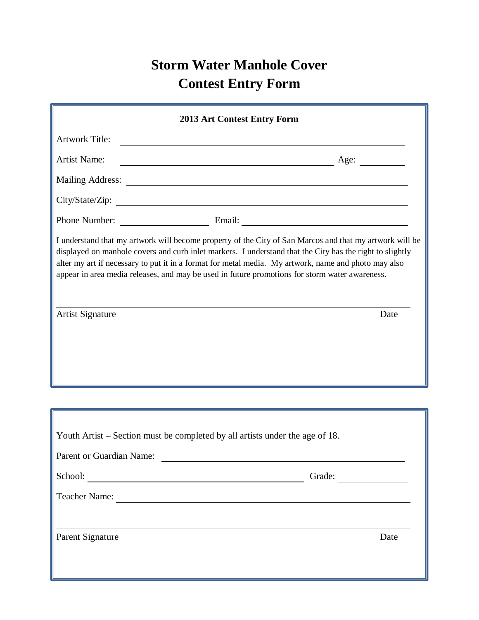## **Storm Water Manhole Cover Contest Entry Form**

| <b>2013 Art Contest Entry Form</b>                                                                       |                                                                                                                                                                                                                                                                                                                                                                                                                                       |
|----------------------------------------------------------------------------------------------------------|---------------------------------------------------------------------------------------------------------------------------------------------------------------------------------------------------------------------------------------------------------------------------------------------------------------------------------------------------------------------------------------------------------------------------------------|
| <b>Artwork Title:</b>                                                                                    | <u> 1989 - Johann Barn, amerikansk politiker (</u>                                                                                                                                                                                                                                                                                                                                                                                    |
| <b>Artist Name:</b>                                                                                      | $\overline{\phantom{a}}$ Age:                                                                                                                                                                                                                                                                                                                                                                                                         |
|                                                                                                          |                                                                                                                                                                                                                                                                                                                                                                                                                                       |
|                                                                                                          |                                                                                                                                                                                                                                                                                                                                                                                                                                       |
|                                                                                                          |                                                                                                                                                                                                                                                                                                                                                                                                                                       |
| <b>Artist Signature</b>                                                                                  | I understand that my artwork will become property of the City of San Marcos and that my artwork will be<br>displayed on manhole covers and curb inlet markers. I understand that the City has the right to slightly<br>alter my art if necessary to put it in a format for metal media. My artwork, name and photo may also<br>appear in area media releases, and may be used in future promotions for storm water awareness.<br>Date |
|                                                                                                          |                                                                                                                                                                                                                                                                                                                                                                                                                                       |
| Youth Artist – Section must be completed by all artists under the age of 18.<br>Parent or Guardian Name: |                                                                                                                                                                                                                                                                                                                                                                                                                                       |
|                                                                                                          | School:<br>Grade:                                                                                                                                                                                                                                                                                                                                                                                                                     |
|                                                                                                          | Teacher Name:                                                                                                                                                                                                                                                                                                                                                                                                                         |
| Parent Signature                                                                                         | Date                                                                                                                                                                                                                                                                                                                                                                                                                                  |